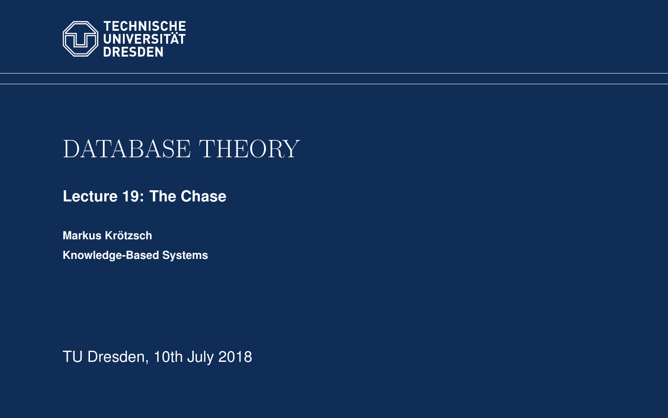<span id="page-0-0"></span>

# DATABASE THEORY

**[Lecture 19: The Chase](https://iccl.inf.tu-dresden.de/web/Database_Theory_(SS2018))**

**[Markus Krotzsch](https://iccl.inf.tu-dresden.de/web/Markus_Kr%C3%B6tzsch/en) ¨ Knowledge-Based Systems**

TU Dresden, 10th July 2018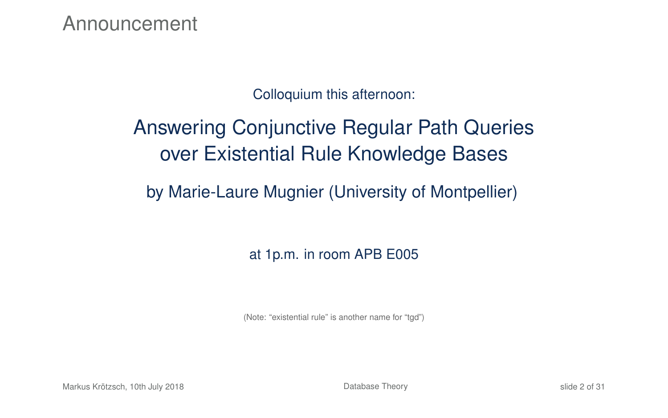Announcement

#### Colloquium this afternoon:

# Answering Conjunctive Regular Path Queries over Existential Rule Knowledge Bases

#### by Marie-Laure Mugnier (University of Montpellier)

#### at 1p.m. in room APB E005

(Note: "existential rule" is another name for "tgd")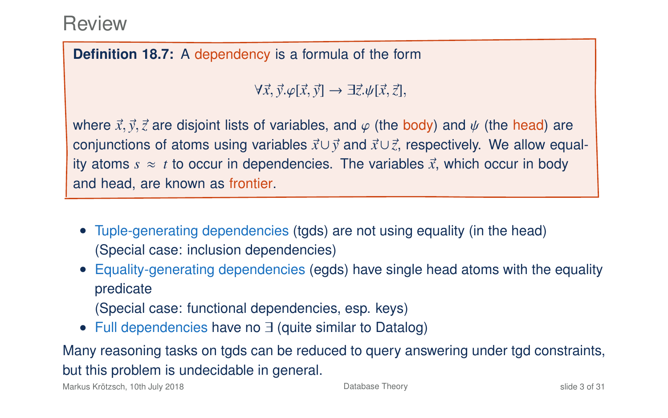#### **Definition 18.7:** A dependency is a formula of the form

<sup>∀</sup>~*x*,~*y*.ϕ[~*x*,~*y*] → ∃~*z*.ψ[~*x*,~*z*],

where  $\vec{x}, \vec{y}, \vec{z}$  are disjoint lists of variables, and  $\varphi$  (the body) and  $\psi$  (the head) are conjunctions of atoms using variables ~*x*∪~*<sup>y</sup>* and ~*x*∪~*z*, respectively. We allow equality atoms  $s \approx t$  to occur in dependencies. The variables  $\vec{x}$ , which occur in body and head, are known as frontier.

- Tuple-generating dependencies (tgds) are not using equality (in the head) (Special case: inclusion dependencies)
- Equality-generating dependencies (egds) have single head atoms with the equality predicate (Special case: functional dependencies, esp. keys)
- Full dependencies have no ∃ (quite similar to Datalog)

Many reasoning tasks on tgds can be reduced to query answering under tgd constraints, but this problem is undecidable in general.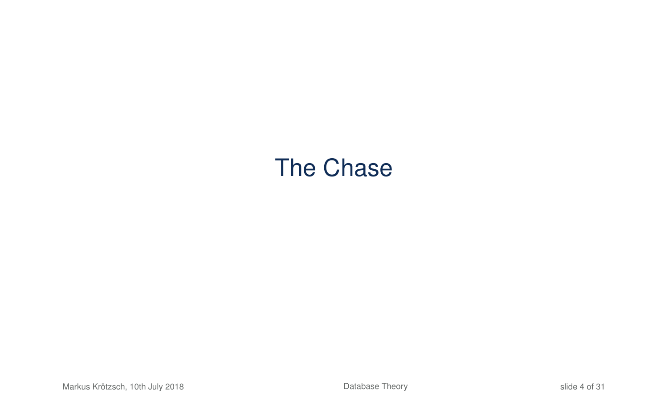# The Chase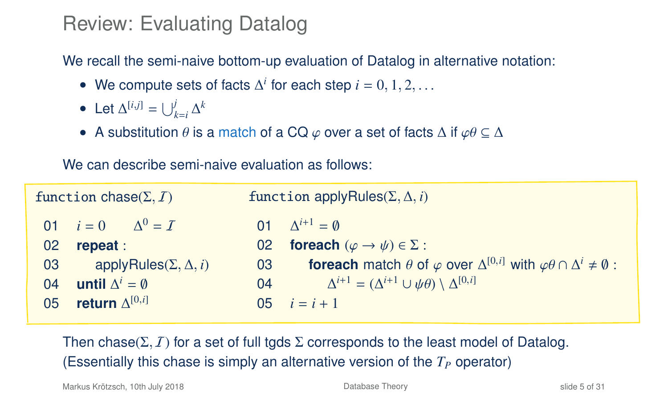# Review: Evaluating Datalog

We recall the semi-naive bottom-up evaluation of Datalog in alternative notation:

- We compute sets of facts  $\Delta^i$  for each step  $i = 0, 1, 2, \ldots$
- Let  $\Delta^{[i,j]} = \bigcup_{k=i}^{j} \Delta^k$
- A substitution  $\theta$  is a match of a CQ  $\varphi$  over a set of facts  $\Delta$  if  $\varphi\theta \subseteq \Delta$

We can describe semi-naive evaluation as follows:

| function chase $(\Sigma, I)$ |                                   | function applyRules( $\Sigma$ , $\Delta$ , <i>i</i> ) |                                                                                                                      |
|------------------------------|-----------------------------------|-------------------------------------------------------|----------------------------------------------------------------------------------------------------------------------|
|                              | 01 $i = 0$ $\Delta^0 = I$         |                                                       | 01 $\Lambda^{i+1} = \emptyset$                                                                                       |
| 02                           | repeat:                           |                                                       | 02 foreach $(\varphi \to \psi) \in \Sigma$ :                                                                         |
| 03                           | applyRules( $\Sigma, \Delta, i$ ) | 03                                                    | <b>foreach</b> match $\theta$ of $\varphi$ over $\Delta^{[0,i]}$ with $\varphi\theta \cap \Delta^i \neq \emptyset$ : |
| 04                           | until $\Delta^i = \emptyset$      | 04                                                    | $\Delta^{i+1} = (\Delta^{i+1} \cup \psi \theta) \setminus \Delta^{[0,i]}$                                            |
| 05                           | return $\Delta^{[0,i]}$           | $05 \,$                                               | $i = i + 1$                                                                                                          |

Then chase( $\Sigma$ , I) for a set of full tgds  $\Sigma$  corresponds to the least model of Datalog. (Essentially this chase is simply an alternative version of the  $T<sub>P</sub>$  operator)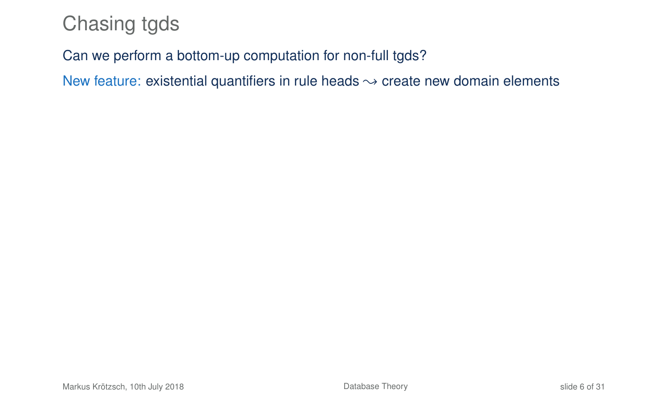# Chasing tgds

#### Can we perform a bottom-up computation for non-full tgds?

New feature: existential quantifiers in rule heads  $\sim$  create new domain elements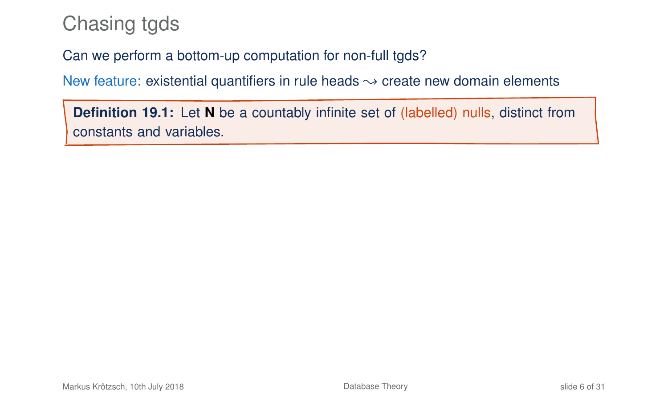# Chasing tgds

Can we perform a bottom-up computation for non-full tgds?

New feature: existential quantifiers in rule heads  $\rightarrow$  create new domain elements

**Definition 19.1:** Let **N** be a countably infinite set of (labelled) nulls, distinct from constants and variables.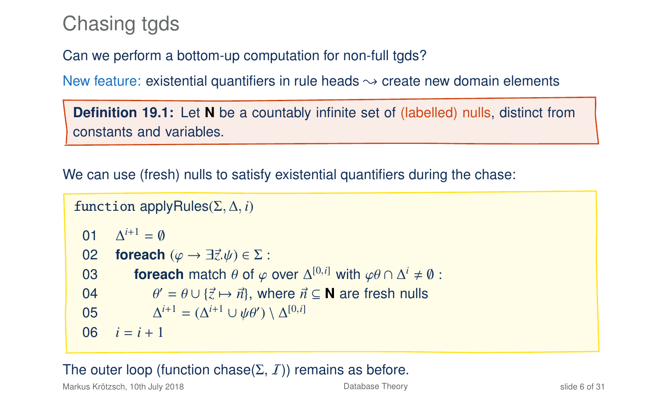# Chasing tgds

Can we perform a bottom-up computation for non-full tgds?

New feature: existential quantifiers in rule heads  $\rightarrow$  create new domain elements

**Definition 19.1:** Let **N** be a countably infinite set of (labelled) nulls, distinct from constants and variables.

We can use (fresh) nulls to satisfy existential quantifiers during the chase:

```
function applyRules(Σ, ∆, i)
   \mathsf{D} 1
                \Lambda^{i+1} = \emptyseto2 foreach (\varphi \rightarrow \exists \vec{z}, \psi) \in \Sigma:<br>03 foreach match \theta of \varphi.
    foreach match θ of φ over \Delta^{[0,i]} with \varphi \theta \cap \Delta^i \neq \emptyset:<br>
04 \theta' = \frac{\partial |A|}{\partial x} \cdot \frac{\partial}{\partial y} where \vec{\alpha} \in \mathbb{N} are freeh pulled
    04 \theta\theta' = \theta \cup \{\vec{z} \mapsto \vec{n}\}\, where \vec{n} \subseteq \mathbb{N} are fresh nulls
   0<sub>5</sub>i^{i+1} = (\Delta^{i+1} \cup \psi \theta') \setminus \Delta^{[0,i]}06 i = i + 1
```
#### The outer loop (function chase( $\Sigma$ ,  $I$ )) remains as before.

Markus Krötzsch, 10th July 2018 [Database Theory](#page-0-0) slide 6 of 31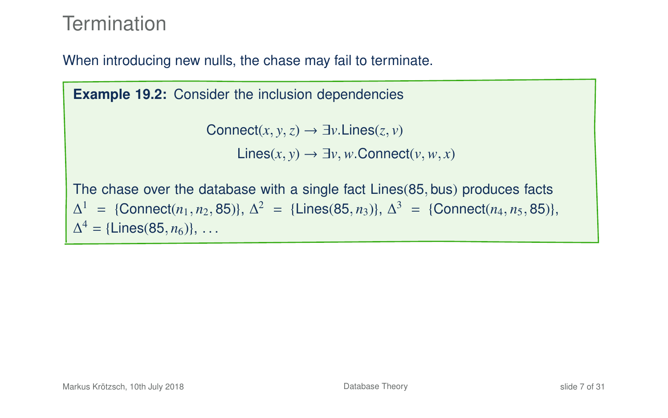# **Termination**

When introducing new nulls, the chase may fail to terminate.

**Example 19.2:** Consider the inclusion dependencies

```
Connect(x, y, z) \rightarrow \exists y. Lines(z, y)Lines(x, y) → ∃v,w.Connect(v,w, x)
```
The chase over the database with a single fact Lines(85, bus) produces facts  $\Delta^1$  = {Connect(*n*<sub>1</sub>, *n*<sub>2</sub>, 85)},  $\Delta^2$  = {Lines(85, *n*<sub>3</sub>)},  $\Delta^3$  = {Connect(*n*<sub>4</sub>, *n*<sub>5</sub>, 85)},  $\Delta^4 = {\text{Lines}(85, n_6)}, \ldots$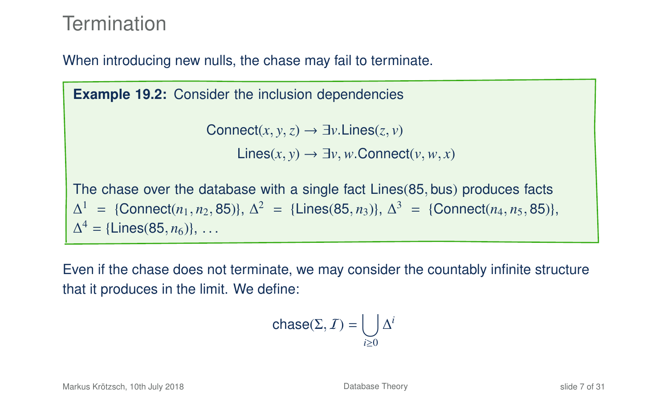# **Termination**

When introducing new nulls, the chase may fail to terminate.

**Example 19.2:** Consider the inclusion dependencies Connect $(x, y, z) \rightarrow \exists y$ . Lines $(z, y)$ Lines(*x*, *<sup>y</sup>*) → ∃*v*,*w*.Connect(*v*,*w*, *<sup>x</sup>*) The chase over the database with a single fact Lines(85, bus) produces facts  $\Delta^1$  = {Connect(*n*<sub>1</sub>, *n*<sub>2</sub>, 85)},  $\Delta^2$  = {Lines(85, *n*<sub>3</sub>)},  $\Delta^3$  = {Connect(*n*<sub>4</sub>, *n*<sub>5</sub>, 85)},  $\Delta^4 = {\text{Lines}(85, n_6)}, \ldots$ 

Even if the chase does not terminate, we may consider the countably infinite structure that it produces in the limit. We define:

$$
\text{chase}(\Sigma, \mathcal{I}) = \bigcup_{i \geq 0} \Delta^i
$$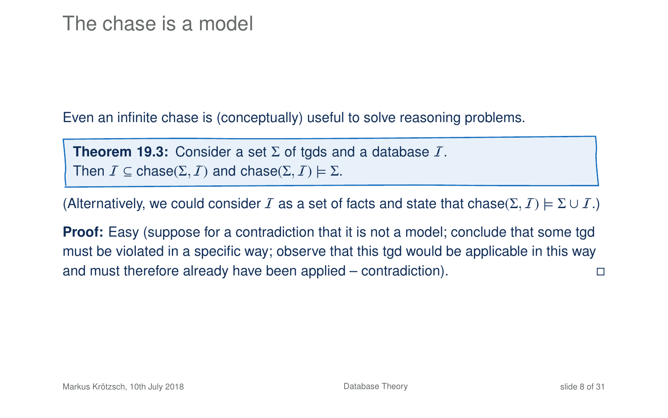Even an infinite chase is (conceptually) useful to solve reasoning problems.

**Theorem 19.3:** Consider a set  $\Sigma$  of tgds and a database  $I$ . Then  $\mathcal{I} \subseteq \text{chase}(\Sigma, \mathcal{I})$  and  $\text{chase}(\Sigma, \mathcal{I}) \models \Sigma$ .

(Alternatively, we could consider I as a set of facts and state that chase( $\Sigma$ ,  $I$ )  $\models \Sigma \cup I$ .)

**Proof:** Easy (suppose for a contradiction that it is not a model; conclude that some tgd must be violated in a specific way; observe that this tgd would be applicable in this way and must therefore already have been applied – contradiction).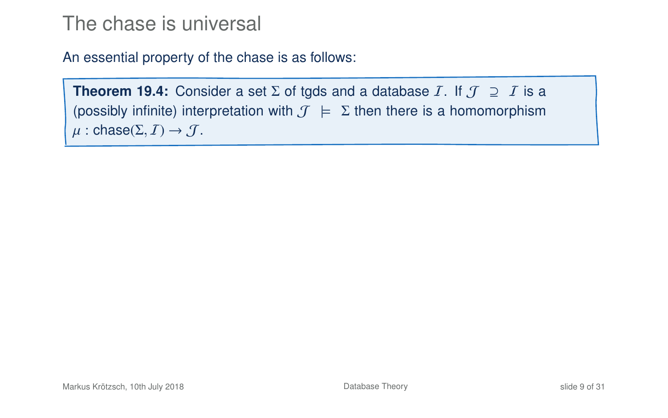An essential property of the chase is as follows:

```
Theorem 19.4: Consider a set \Sigma of tgds and a database I. If \mathcal{J} \supseteq I is a
(possibly infinite) interpretation with \mathcal{J} \models \Sigma then there is a homomorphism
\mu: chase(\Sigma, I) \rightarrow J.
```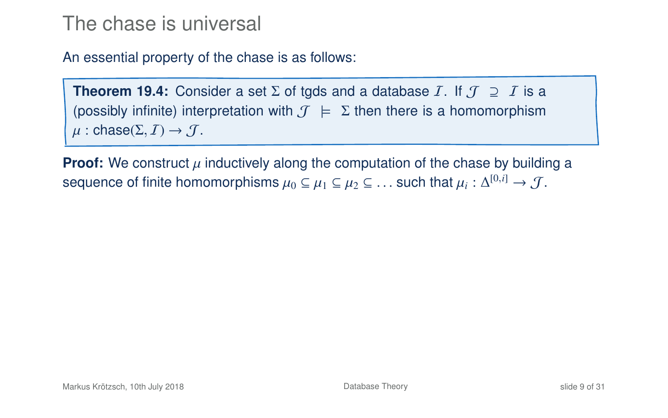An essential property of the chase is as follows:

**Theorem 19.4:** Consider a set  $\Sigma$  of tgds and a database *I*. If  $\mathcal{J} \supseteq I$  is a (possibly infinite) interpretation with  $\mathcal{T} \models \Sigma$  then there is a homomorphism  $\mu$ : chase( $\Sigma$ ,  $I$ )  $\rightarrow$   $J$ .

**Proof:** We construct  $\mu$  inductively along the computation of the chase by building a sequence of finite homomorphisms  $\mu_0 \subseteq \mu_1 \subseteq \mu_2 \subseteq \dots$  such that  $\mu_i : \Delta^{[0,i]} \to \mathcal{J}$ .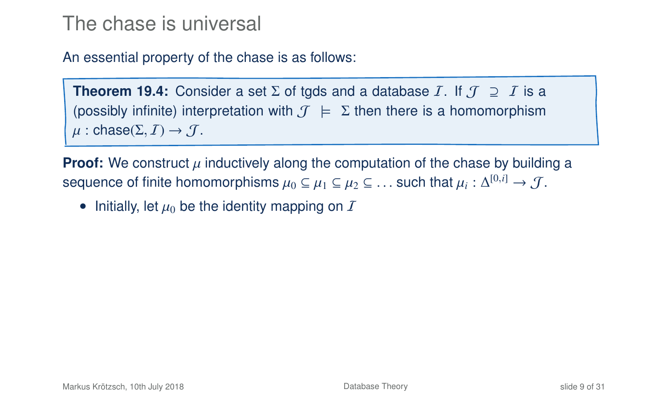An essential property of the chase is as follows:

**Theorem 19.4:** Consider a set  $\Sigma$  of tgds and a database *I*. If  $\mathcal{J} \supseteq I$  is a (possibly infinite) interpretation with  $\mathcal{T} \models \Sigma$  then there is a homomorphism  $\mu$ : chase( $\Sigma$ ,  $\overline{I}$ )  $\rightarrow$   $\overline{J}$ .

**Proof:** We construct  $\mu$  inductively along the computation of the chase by building a sequence of finite homomorphisms  $\mu_0 \subseteq \mu_1 \subseteq \mu_2 \subseteq \ldots$  such that  $\mu_i : \Delta^{[0,i]} \to \mathcal{J}$ .

• Initially, let  $\mu_0$  be the identity mapping on  $\bar{I}$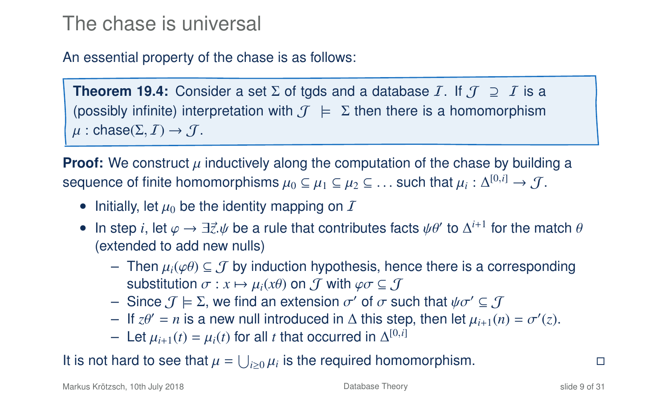An essential property of the chase is as follows:

**Theorem 19.4:** Consider a set  $\Sigma$  of tgds and a database *I*. If  $\mathcal{J} \supseteq I$  is a (possibly infinite) interpretation with  $\mathcal{J} \models \Sigma$  then there is a homomorphism  $\mu$ : chase( $\Sigma$ ,  $\overline{I}$ )  $\rightarrow$   $\overline{J}$ .

**Proof:** We construct  $\mu$  inductively along the computation of the chase by building a sequence of finite homomorphisms  $\mu_0 \subseteq \mu_1 \subseteq \mu_2 \subseteq \ldots$  such that  $\mu_i : \Delta^{[0,i]} \to \mathcal{J}$ .

- Initially, let  $\mu_0$  be the identity mapping on  $\bar{I}$
- In step *i*, let  $\varphi$  →  $\exists \vec{z}$ . $\psi$  be a rule that contributes facts  $\psi \theta'$  to  $\Delta^{i+1}$  for the match  $\theta$  (extended to add new nulls) (extended to add new nulls)
	- Then  $\mu_i(\varphi \theta) \subseteq \mathcal{J}$  by induction hypothesis, hence there is a corresponding substitution  $\sigma: x \mapsto \mu_i(x\theta)$  on  $\mathcal J$  with  $\varphi \sigma \subseteq \mathcal J$
	- Since  $\mathcal{J} \models \Sigma$ , we find an extension  $\sigma'$  of  $\sigma$  such that  $\psi \sigma' \subseteq \mathcal{J}$ <br>– If  $z\theta' = n$  is a new pull introduced in Δ this step, then let  $\mu_{\Sigma}$ , (*n*
	- If *zθ'* = *n* is a new null introduced in Δ this step, then let  $\mu_{i+1}(n) = \sigma'(z)$ .<br>– Let  $\mu_{i+1}(n) = \mu_i(t)$  for all t that occurred in  $\Lambda^{[0,i]}$
	- $-$  Let  $\mu_{i+1}(t) = \mu_i(t)$  for all *t* that occurred in ∆<sup>[0,*i*]</sup>

It is not hard to see that  $\mu = \bigcup_{i \geq 0} \mu_i$  is the required homomorphism. □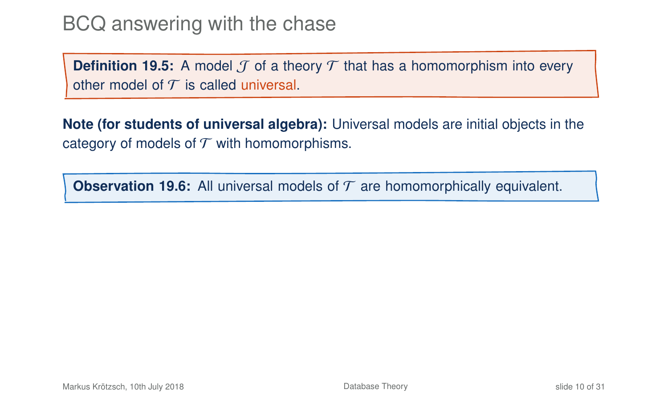**Definition 19.5:** A model  $\mathcal{T}$  of a theory  $\mathcal{T}$  that has a homomorphism into every other model of  $\mathcal T$  is called universal.

**Note (for students of universal algebra):** Universal models are initial objects in the category of models of  $T$  with homomorphisms.

**Observation 19.6:** All universal models of  $T$  are homomorphically equivalent.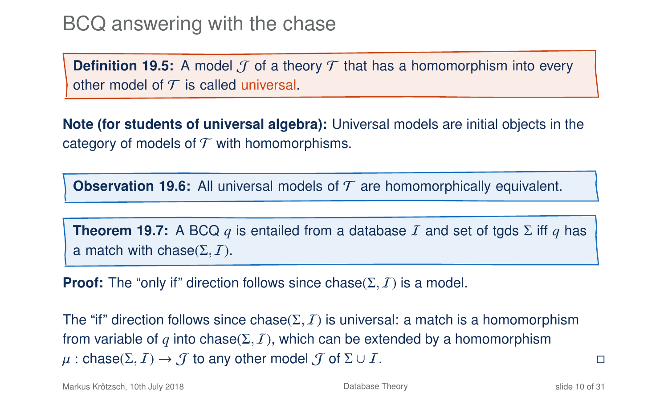**Definition 19.5:** A model  $\mathcal{T}$  of a theory  $\mathcal{T}$  that has a homomorphism into every other model of  $T$  is called universal.

**Note (for students of universal algebra):** Universal models are initial objects in the category of models of  $T$  with homomorphisms.

**Observation 19.6:** All universal models of  $T$  are homomorphically equivalent.

**Theorem 19.7:** A BCQ q is entailed from a database I and set of tgds  $\Sigma$  iff q has a match with chase( $\Sigma$ ,  $\overline{I}$ ).

**Proof:** The "only if" direction follows since chase( $\Sigma$ ,  $I$ ) is a model.

The "if" direction follows since chase( $\Sigma$ ,  $I$ ) is universal: a match is a homomorphism from variable of *q* into chase( $\Sigma$ , *I*), which can be extended by a homomorphism  $\mu$ : chase( $\Sigma$ ,  $I$ )  $\rightarrow$   $J$  to any other model  $J$  of  $\Sigma \cup I$ .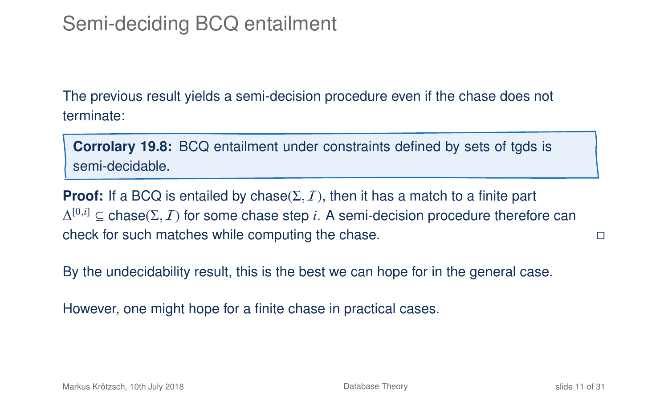The previous result yields a semi-decision procedure even if the chase does not terminate:

**Corrolary 19.8:** BCQ entailment under constraints defined by sets of tgds is semi-decidable.

**Proof:** If a BCQ is entailed by chase( $\Sigma$ ,  $I$ ), then it has a match to a finite part  $\Delta^{[0,i]} \subseteq \text{chase}(\Sigma, I)$  for some chase step *i*. A semi-decision procedure therefore can check for such matches while computing the chase.

By the undecidability result, this is the best we can hope for in the general case.

However, one might hope for a finite chase in practical cases.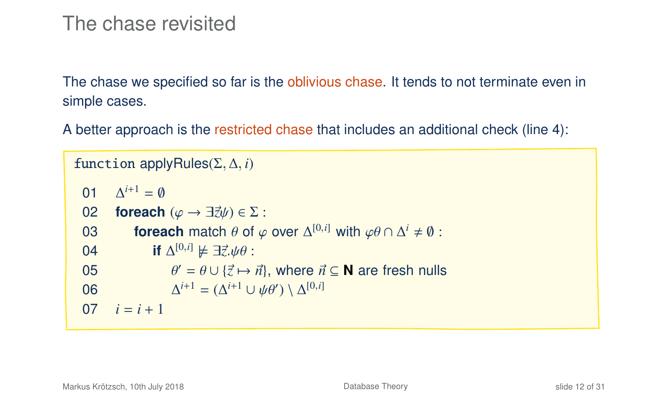### The chase revisited

The chase we specified so far is the oblivious chase. It tends to not terminate even in simple cases.

A better approach is the restricted chase that includes an additional check (line 4):

```
function applyRules(Σ, ∆, i)
   01 \Delta^{i+1} = \emptyseto2 foreach (\varphi \rightarrow \exists \vec{z}\psi) \in \Sigma:<br>03 foreach match \theta of \varphi603 foreach match θ of φ over Δ<sup>[0,i]</sup> with φθ ∩ Δ<sup>i</sup> ≠ 0:<br>
0.4 if \Delta^{[0,i]} \vdash \exists \vec{r} \land \emptyset.
   04 if \Delta^{[0,i]} \notin ∃\vec{z} \psi \theta :<br>
05 \alpha' = \theta + \vec{z} + \vec{z}05 θ
                                   \theta' = \theta \cup \{\vec{z} \mapsto \vec{n}\}\, where \vec{n} \subseteq \mathbb{N} are fresh nulls
  06 ∆
                                        i^{i+1} = (\Delta^{i+1} \cup \psi \theta') \setminus \Delta^{[0,i]}07 i = i + 1
```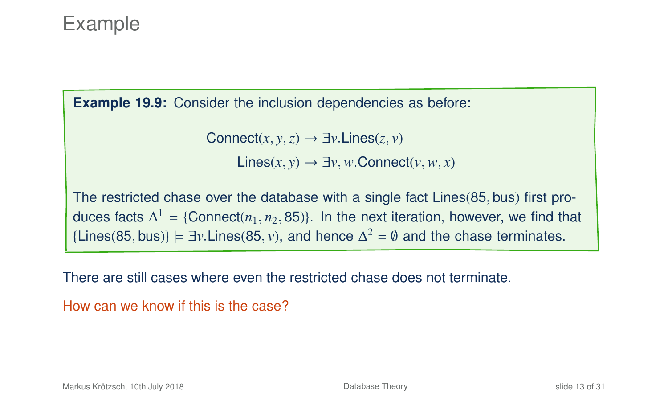# Example

**Example 19.9:** Consider the inclusion dependencies as before:

Connect $(x, y, z) \rightarrow \exists y$ . Lines $(z, y)$ Lines(*x*, *<sup>y</sup>*) → ∃*v*,*w*.Connect(*v*,*w*, *<sup>x</sup>*)

The restricted chase over the database with a single fact Lines(85, bus) first produces facts  $\Delta^1$  = {Connect( $n_1, n_2, 85$ )}. In the next iteration, however, we find that {Lines(85, bus)}  $\models \exists v$ .Lines(85, *v*), and hence  $\Delta^2 = \emptyset$  and the chase terminates.

There are still cases where even the restricted chase does not terminate.

```
How can we know if this is the case?
```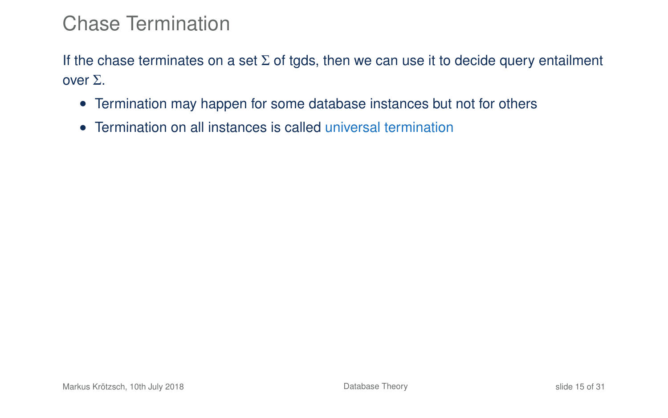If the chase terminates on a set  $\Sigma$  of tgds, then we can use it to decide query entailment over Σ.

- Termination may happen for some database instances but not for others
- <span id="page-21-0"></span>• Termination on all instances is called universal termination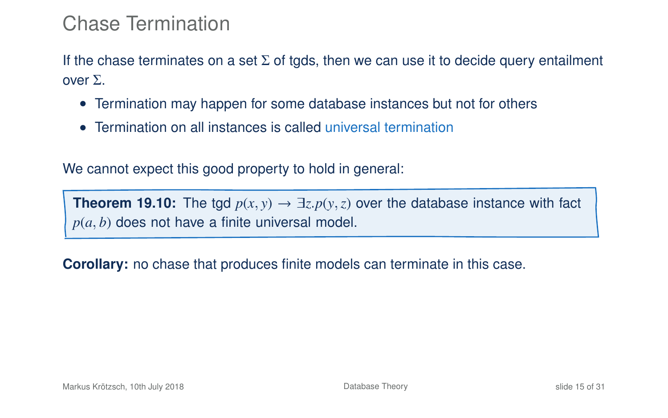If the chase terminates on a set  $\Sigma$  of tgds, then we can use it to decide query entailment over Σ.

- Termination may happen for some database instances but not for others
- Termination on all instances is called universal termination

We cannot expect this good property to hold in general:

**Theorem 19.10:** The tgd  $p(x, y) \rightarrow \exists z \cdot p(y, z)$  over the database instance with fact *p*(*a*, *b*) does not have a finite universal model.

**Corollary:** no chase that produces finite models can terminate in this case.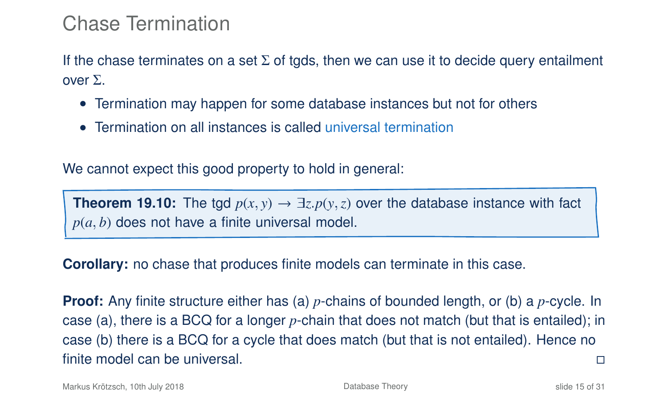If the chase terminates on a set  $\Sigma$  of tgds, then we can use it to decide query entailment over Σ.

- Termination may happen for some database instances but not for others
- Termination on all instances is called universal termination

We cannot expect this good property to hold in general:

**Theorem 19.10:** The tgd  $p(x, y) \rightarrow \exists z \cdot p(y, z)$  over the database instance with fact *p*(*a*, *b*) does not have a finite universal model.

**Corollary:** no chase that produces finite models can terminate in this case.

**Proof:** Any finite structure either has (a) *p*-chains of bounded length, or (b) a *p*-cycle. In case (a), there is a BCQ for a longer *p*-chain that does not match (but that is entailed); in case (b) there is a BCQ for a cycle that does match (but that is not entailed). Hence no finite model can be universal.

Markus Krötzsch, 10th July 2018 [Database Theory](#page-0-0) slide 15 of 31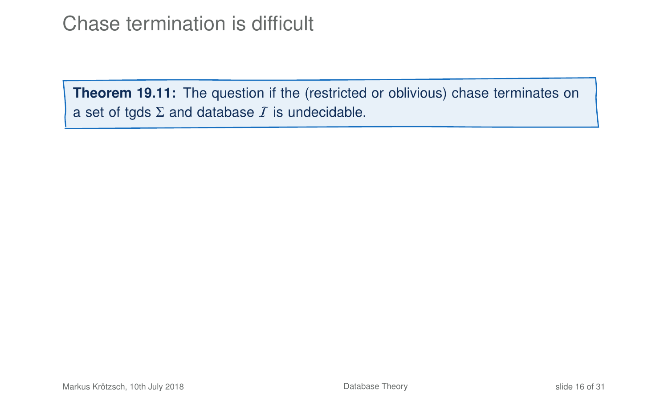# Chase termination is difficult

**Theorem 19.11:** The question if the (restricted or oblivious) chase terminates on a set of tgds  $\Sigma$  and database  $I$  is undecidable.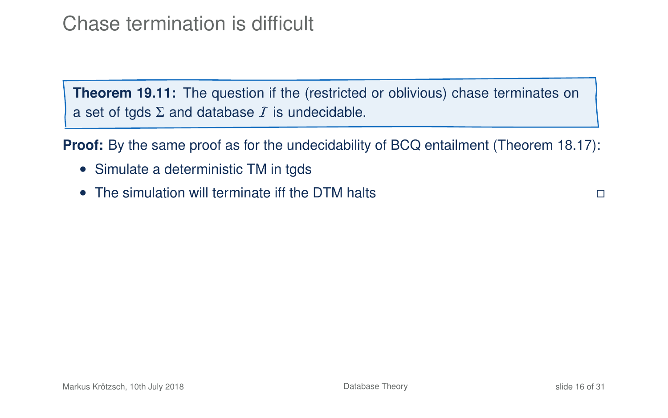Chase termination is difficult

**Theorem 19.11:** The question if the (restricted or oblivious) chase terminates on a set of tgds  $\Sigma$  and database  $I$  is undecidable.

**Proof:** By the same proof as for the undecidability of BCQ entailment (Theorem 18.17):

- Simulate a deterministic TM in tgds
- The simulation will terminate iff the DTM halts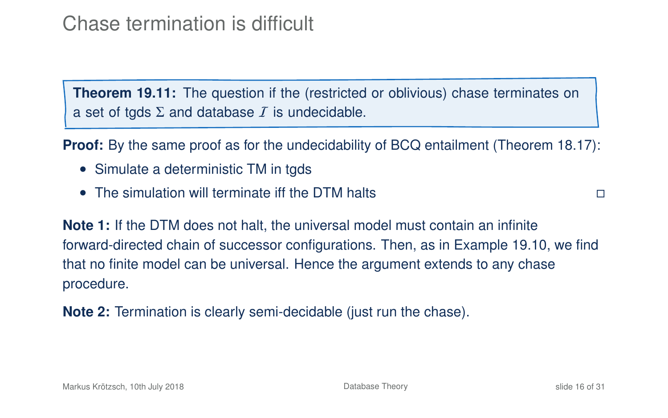# Chase termination is difficult

**Theorem 19.11:** The question if the (restricted or oblivious) chase terminates on a set of tgds  $\Sigma$  and database  $\overline{I}$  is undecidable.

**Proof:** By the same proof as for the undecidability of BCQ entailment (Theorem 18.17):

- Simulate a deterministic TM in tgds
- The simulation will terminate iff the DTM halts

**Note 1:** If the DTM does not halt, the universal model must contain an infinite forward-directed chain of successor configurations. Then, as in Example 19[.10,](#page-21-0) we find that no finite model can be universal. Hence the argument extends to any chase procedure.

**Note 2:** Termination is clearly semi-decidable (just run the chase).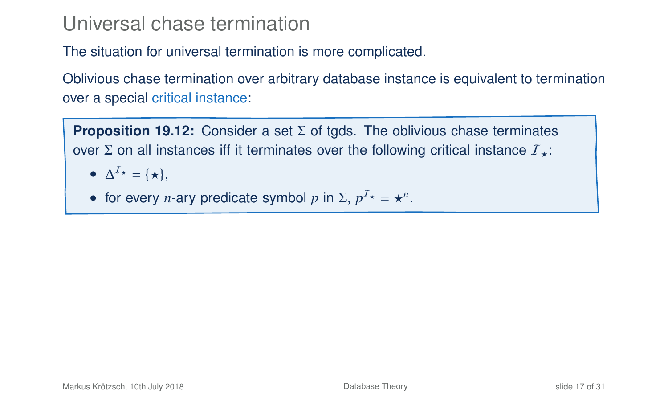### Universal chase termination

#### The situation for universal termination is more complicated.

Oblivious chase termination over arbitrary database instance is equivalent to termination over a special critical instance:

**Proposition 19.12:** Consider a set Σ of tgds. The oblivious chase terminates over Σ on all instances iff it terminates over the following critical instance  $I_{+}$ :

- $\Delta^{I_{\star}} = {\star},$
- for every *n*-ary predicate symbol *p* in  $\Sigma$ ,  $p^{T*} = \star^n$ .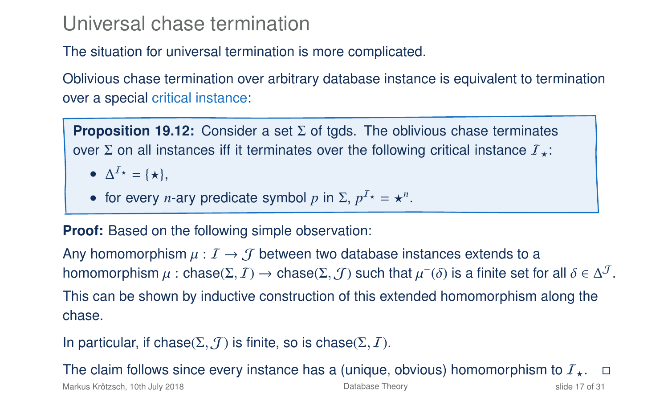### Universal chase termination

#### The situation for universal termination is more complicated.

Oblivious chase termination over arbitrary database instance is equivalent to termination over a special critical instance:

**Proposition 19.12:** Consider a set Σ of tgds. The oblivious chase terminates over  $\Sigma$  on all instances iff it terminates over the following critical instance  $I_{+}$ :

- $\Delta^{I_{\star}} = {\star},$
- for every *n*-ary predicate symbol *p* in  $\Sigma$ ,  $p^{T*} = \star^n$ .

**Proof:** Based on the following simple observation:

Any homomorphism  $\mu: I \to J$  between two database instances extends to a homomorphism  $\mu$  : chase( $\Sigma$ ,  $J$ )  $\rightarrow$  chase( $\Sigma$ ,  $J$ ) such that  $\mu^-(\delta)$  is a finite set for all  $\delta \in \Delta^J$ . This can be shown by inductive construction of this extended homomorphism along the chase.

In particular, if chase( $\Sigma$ ,  $\mathcal{J}$ ) is finite, so is chase( $\Sigma$ ,  $\mathcal{I}$ ).

The claim follows since every instance has a (unique, obvious) homomorphism to  $\mathcal{I}_{\star}$ .  $\square$ <br>Markus Krõtzsch, 10th July 2018

Markus Krötzsch, 10th July 2018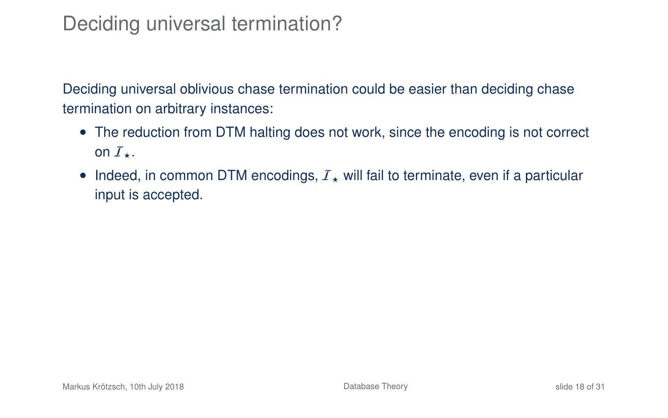# Deciding universal termination?

Deciding universal oblivious chase termination could be easier than deciding chase termination on arbitrary instances:

- The reduction from DTM halting does not work, since the encoding is not correct on  $I_{\star}$ .
- Indeed, in common DTM encodings,  $I_{\star}$  will fail to terminate, even if a particular input is accepted.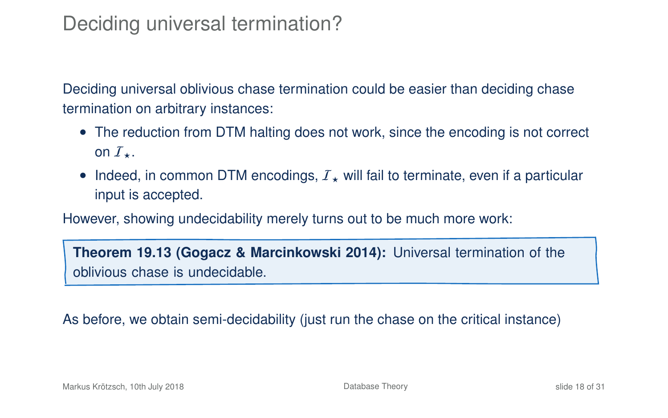# Deciding universal termination?

Deciding universal oblivious chase termination could be easier than deciding chase termination on arbitrary instances:

- The reduction from DTM halting does not work, since the encoding is not correct on  $I_{\star}$ .
- Indeed, in common DTM encodings,  $I_{\star}$  will fail to terminate, even if a particular input is accepted.

However, showing undecidability merely turns out to be much more work:

**Theorem 19.13 (Gogacz & Marcinkowski 2014):** Universal termination of the oblivious chase is undecidable.

As before, we obtain semi-decidability (just run the chase on the critical instance)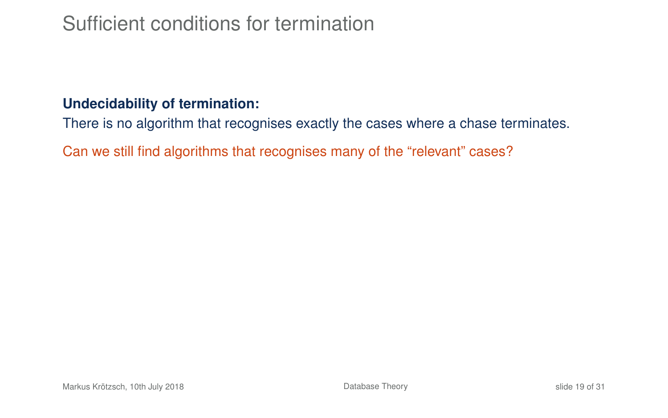# Sufficient conditions for termination

#### **Undecidability of termination:**

There is no algorithm that recognises exactly the cases where a chase terminates.

Can we still find algorithms that recognises many of the "relevant" cases?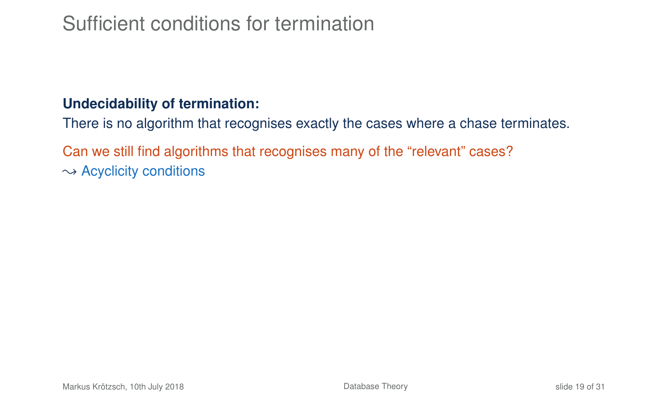# Sufficient conditions for termination

#### **Undecidability of termination:**

There is no algorithm that recognises exactly the cases where a chase terminates.

Can we still find algorithms that recognises many of the "relevant" cases?  $\rightarrow$  Acyclicity conditions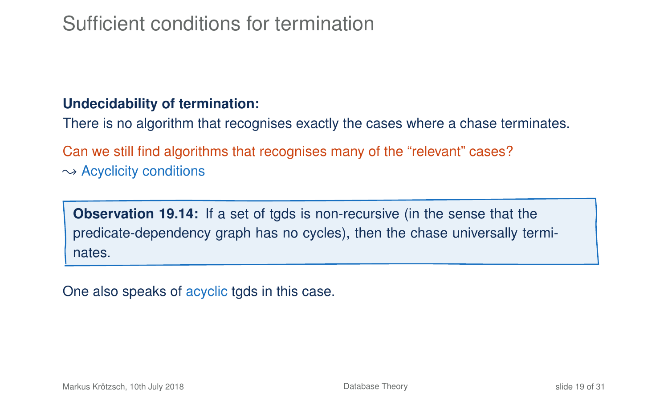# Sufficient conditions for termination

#### **Undecidability of termination:**

There is no algorithm that recognises exactly the cases where a chase terminates.

Can we still find algorithms that recognises many of the "relevant" cases?  $\rightarrow$  Acyclicity conditions

**Observation 19.14:** If a set of tgds is non-recursive (in the sense that the predicate-dependency graph has no cycles), then the chase universally terminates.

One also speaks of acyclic tgds in this case.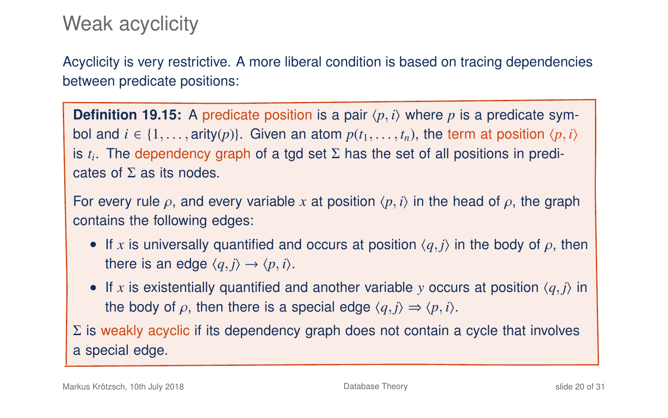# Weak acyclicity

Acyclicity is very restrictive. A more liberal condition is based on tracing dependencies between predicate positions:

**Definition 19.15:** A predicate position is a pair  $\langle p, i \rangle$  where p is a predicate symbol and  $i \in \{1, ..., \text{arity}(p)\}\)$ . Given an atom  $p(t_1, ..., t_n)$ , the term at position  $\langle p, i \rangle$ is *t<sup>i</sup>* . The dependency graph of a tgd set Σ has the set of all positions in predicates of  $\Sigma$  as its nodes.

For every rule  $\rho$ , and every variable x at position  $\langle p, i \rangle$  in the head of  $\rho$ , the graph contains the following edges:

- If x is universally quantified and occurs at position  $\langle q, j \rangle$  in the body of  $\rho$ , then there is an edge  $\langle q, j \rangle \rightarrow \langle p, i \rangle$ .
- If x is existentially quantified and another variable y occurs at position  $\langle q, \gamma \rangle$  in the body of  $\rho$ , then there is a special edge  $\langle q, j \rangle \Rightarrow \langle p, i \rangle$ .

 $\Sigma$  is weakly acyclic if its dependency graph does not contain a cycle that involves a special edge.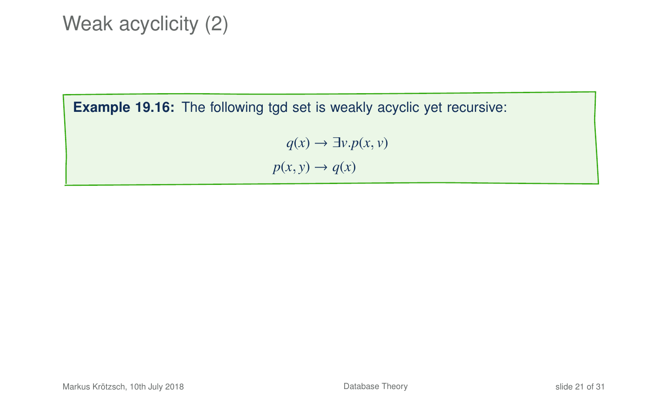# Weak acyclicity (2)

**Example 19.16:** The following tgd set is weakly acyclic yet recursive:

 $q(x) \rightarrow \exists v. p(x, v)$  $p(x, y) \rightarrow q(x)$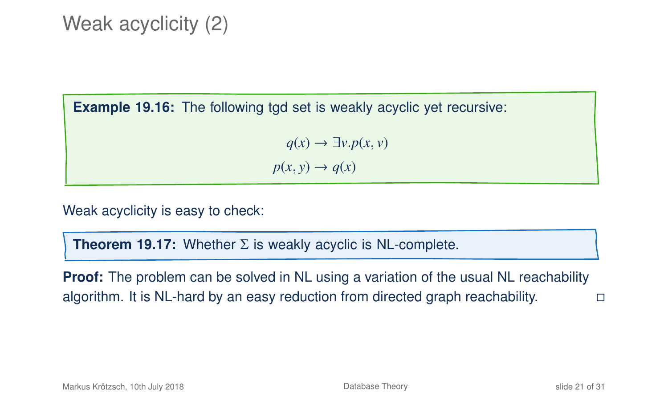# Weak acyclicity (2)

**Example 19.16:** The following tgd set is weakly acyclic yet recursive:

 $q(x) \rightarrow \exists y \cdot p(x, y)$  $p(x, y) \rightarrow q(x)$ 

Weak acyclicity is easy to check:

**Theorem 19.17:** Whether Σ is weakly acyclic is NL-complete.

**Proof:** The problem can be solved in NL using a variation of the usual NL reachability algorithm. It is NL-hard by an easy reduction from directed graph reachability.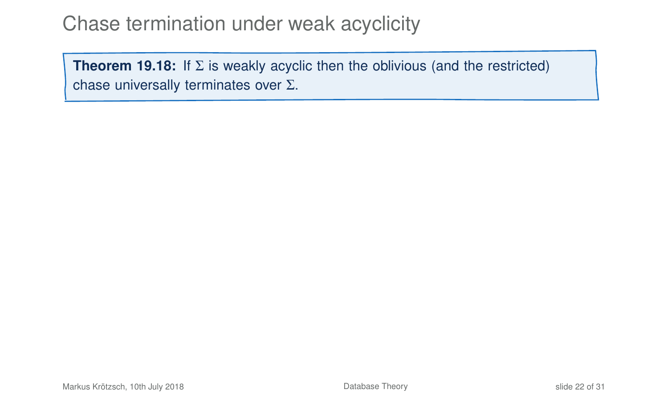## Chase termination under weak acyclicity

<span id="page-37-0"></span>**Theorem 19.18:** If  $\Sigma$  is weakly acyclic then the oblivious (and the restricted) chase universally terminates over Σ.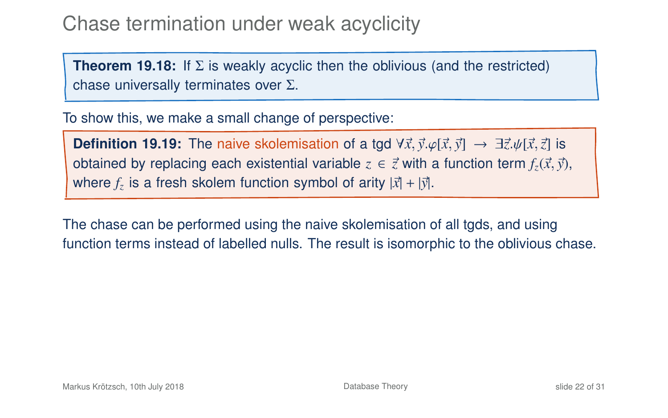# Chase termination under weak acyclicity

**Theorem 19.18:** If Σ is weakly acyclic then the oblivious (and the restricted) chase universally terminates over Σ.

To show this, we make a small change of perspective:

**Definition 19.19:** The naive skolemisation of a tgd  $\forall \vec{x}, \vec{y}. \varphi[\vec{x}, \vec{y}] \rightarrow \exists \vec{z}. \psi[\vec{x}, \vec{z}]$  is obtained by replacing each existential variable  $z \in \vec{z}$  with a function term  $f_z(\vec{x},\vec{y})$ , where  $f_z$  is a fresh skolem function symbol of arity  $|\vec{x}| + |\vec{y}|$ .

The chase can be performed using the naive skolemisation of all tgds, and using function terms instead of labelled nulls. The result is isomorphic to the oblivious chase.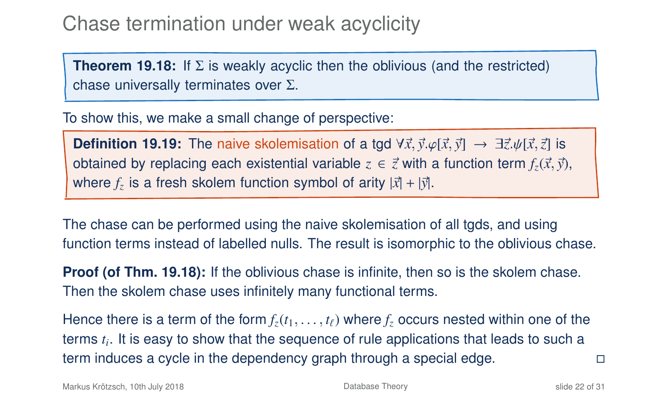# Chase termination under weak acyclicity

**Theorem 19.18:** If Σ is weakly acyclic then the oblivious (and the restricted) chase universally terminates over Σ.

To show this, we make a small change of perspective:

**Definition 19.19:** The naive skolemisation of a tgd  $\forall \vec{x}, \vec{y} \in [\vec{x}, \vec{y}] \rightarrow \exists \vec{z} \cdot \psi[\vec{x}, \vec{z}]$  is obtained by replacing each existential variable  $z \in \vec{z}$  with a function term  $f_z(\vec{x}, \vec{y})$ , where  $f_z$  is a fresh skolem function symbol of arity  $|\vec{x}| + |\vec{y}|$ .

The chase can be performed using the naive skolemisation of all tgds, and using function terms instead of labelled nulls. The result is isomorphic to the oblivious chase.

**Proof (of Thm. 19[.18\)](#page-37-0):** If the oblivious chase is infinite, then so is the skolem chase. Then the skolem chase uses infinitely many functional terms.

Hence there is a term of the form  $f_z(t_1, \ldots, t_\ell)$  where  $f_z$  occurs nested within one of the terms *t<sup>i</sup>* . It is easy to show that the sequence of rule applications that leads to such a term induces a cycle in the dependency graph through a special edge.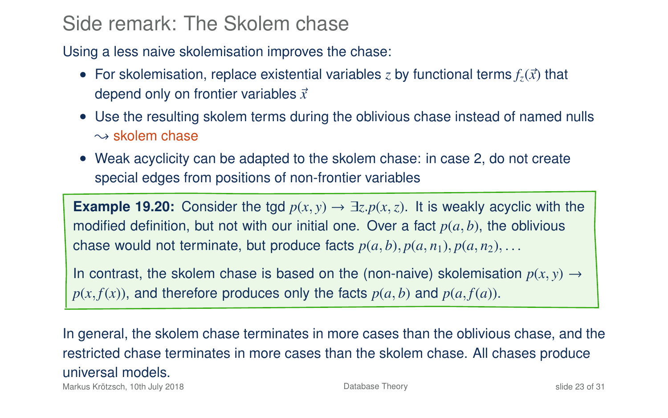## Side remark: The Skolem chase

Using a less naive skolemisation improves the chase:

- For skolemisation, replace existential variables *z* by functional terms  $f_z(\vec{x})$  that depend only on frontier variables  $\vec{x}$
- Use the resulting skolem terms during the oblivious chase instead of named nulls  $\sim$  skolem chase
- Weak acyclicity can be adapted to the skolem chase: in case 2, do not create special edges from positions of non-frontier variables

**Example 19.20:** Consider the tgd  $p(x, y) \rightarrow \exists z \cdot p(x, z)$ . It is weakly acyclic with the modified definition, but not with our initial one. Over a fact  $p(a, b)$ , the oblivious chase would not terminate, but produce facts  $p(a, b)$ ,  $p(a, n_1)$ ,  $p(a, n_2)$ , ...

In contrast, the skolem chase is based on the (non-naive) skolemisation  $p(x, y) \rightarrow$  $p(x, f(x))$ , and therefore produces only the facts  $p(a, b)$  and  $p(a, f(a))$ .

In general, the skolem chase terminates in more cases than the oblivious chase, and the restricted chase terminates in more cases than the skolem chase. All chases produce universal models.

Markus Krötzsch, 10th July 2018 **[Database Theory](#page-0-0)** Database Theory slide 23 of 31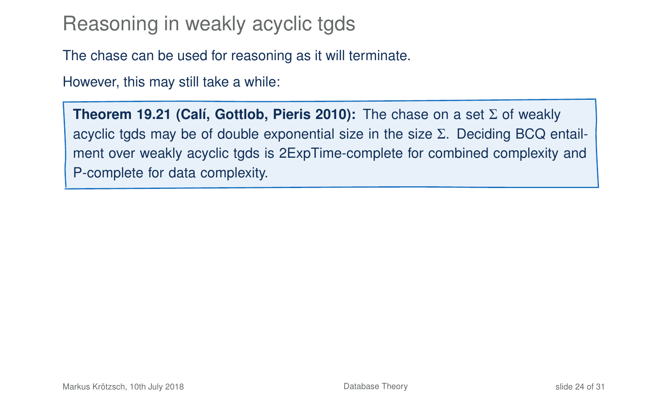# Reasoning in weakly acyclic tgds

The chase can be used for reasoning as it will terminate.

However, this may still take a while:

**Theorem 19.21 (Calí, Gottlob, Pieris 2010):** The chase on a set Σ of weakly acyclic tgds may be of double exponential size in the size Σ. Deciding BCQ entailment over weakly acyclic tgds is 2ExpTime-complete for combined complexity and P-complete for data complexity.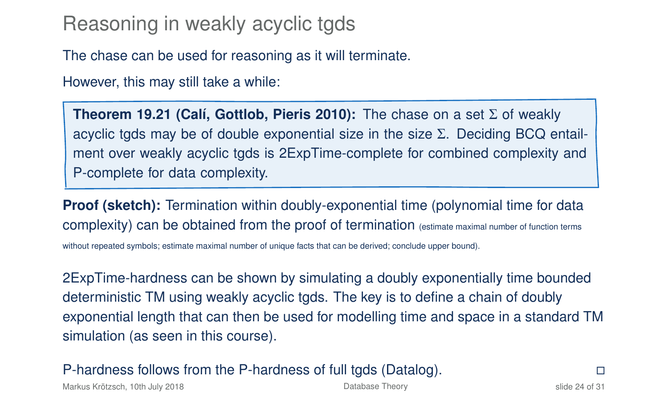# Reasoning in weakly acyclic tgds

The chase can be used for reasoning as it will terminate.

However, this may still take a while:

**Theorem 19.21 (Calí, Gottlob, Pieris 2010):** The chase on a set Σ of weakly acyclic tgds may be of double exponential size in the size Σ. Deciding BCQ entailment over weakly acyclic tgds is 2ExpTime-complete for combined complexity and P-complete for data complexity.

**Proof (sketch):** Termination within doubly-exponential time (polynomial time for data complexity) can be obtained from the proof of termination (estimate maximal number of function terms without repeated symbols; estimate maximal number of unique facts that can be derived; conclude upper bound).

2ExpTime-hardness can be shown by simulating a doubly exponentially time bounded deterministic TM using weakly acyclic tgds. The key is to define a chain of doubly exponential length that can then be used for modelling time and space in a standard TM simulation (as seen in this course).

P-hardness follows from the P-hardness of full tgds (Datalog).

Markus Krötzsch, 10th July 2018 [Database Theory](#page-0-0) slide 24 of 31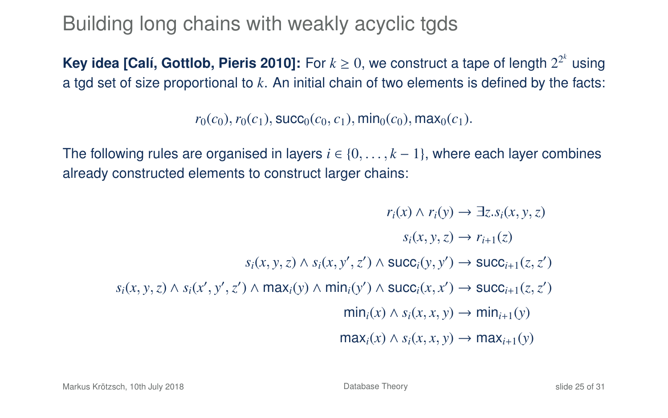# Building long chains with weakly acyclic tgds

**Key idea [Calí, Gottlob, Pieris 2010]:** For  $k \ge 0$ , we construct a tape of length  $2^{2^k}$  using a tgd set of size proportional to *k*. An initial chain of two elements is defined by the facts:

 $r_0(c_0)$ ,  $r_0(c_1)$ , succ<sub>0</sub>( $c_0$ ,  $c_1$ ), min<sub>0</sub>( $c_0$ ), max<sub>0</sub>( $c_1$ ).

The following rules are organised in layers  $i \in \{0, \ldots, k-1\}$ , where each layer combines already constructed elements to construct larger chains:

$$
r_i(x) \land r_i(y) \to \exists z . s_i(x, y, z)
$$

$$
s_i(x, y, z) \to r_{i+1}(z)
$$

$$
s_i(x, y, z) \land s_i(x, y', z') \land \text{succ}_i(y, y') \to \text{succ}_{i+1}(z, z')
$$

$$
s_i(x, y, z) \land s_i(x', y', z') \land \text{max}_i(y) \land \text{min}_i(y') \land \text{succ}_i(x, x') \to \text{succ}_{i+1}(z, z')
$$

$$
\min_i(x) \land s_i(x, x, y) \to \min_{i+1}(y)
$$

$$
\max_i(x) \land s_i(x, x, y) \to \max_{i+1}(y)
$$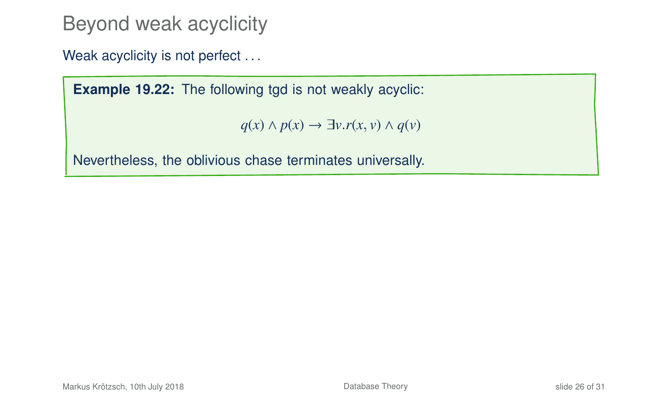Beyond weak acyclicity

Weak acyclicity is not perfect ...

**Example 19.22:** The following tgd is not weakly acyclic:

*q*(*x*) ∧ *p*(*x*) → ∃*v*.*r*(*x*, *v*) ∧ *q*(*v*)

Nevertheless, the oblivious chase terminates universally.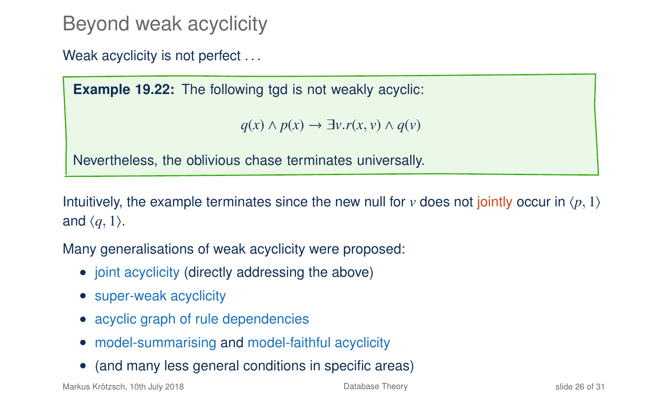# Beyond weak acyclicity

Weak acyclicity is not perfect ...

**Example 19.22:** The following tgd is not weakly acyclic:

*q*(*x*) ∧ *p*(*x*) → ∃*v*.*r*(*x*, *v*) ∧ *q*(*v*)

Nevertheless, the oblivious chase terminates universally.

Intuitively, the example terminates since the new null for *v* does not jointly occur in  $\langle p, 1 \rangle$ and  $\langle q, 1 \rangle$ .

Many generalisations of weak acyclicity were proposed:

- joint acyclicity (directly addressing the above)
- super-weak acyclicity
- acyclic graph of rule dependencies
- model-summarising and model-faithful acyclicity
- (and many less general conditions in specific areas)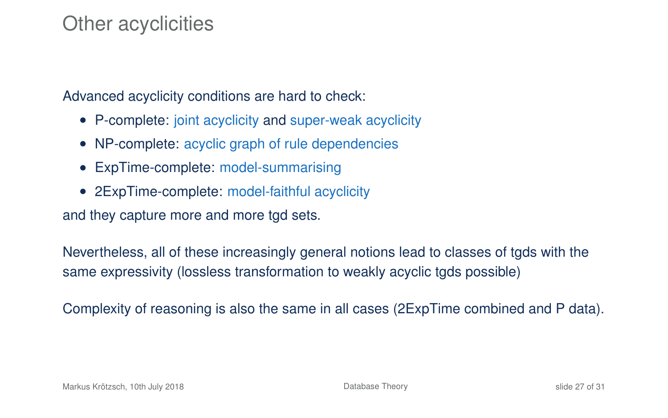### Other acyclicities

Advanced acyclicity conditions are hard to check:

- P-complete: joint acyclicity and super-weak acyclicity
- NP-complete: acyclic graph of rule dependencies
- ExpTime-complete: model-summarising
- 2ExpTime-complete: model-faithful acyclicity

and they capture more and more tgd sets.

Nevertheless, all of these increasingly general notions lead to classes of tgds with the same expressivity (lossless transformation to weakly acyclic tgds possible)

Complexity of reasoning is also the same in all cases (2ExpTime combined and P data).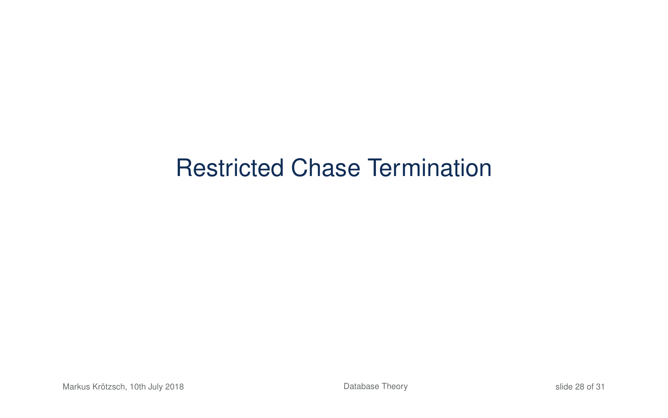# Restricted Chase Termination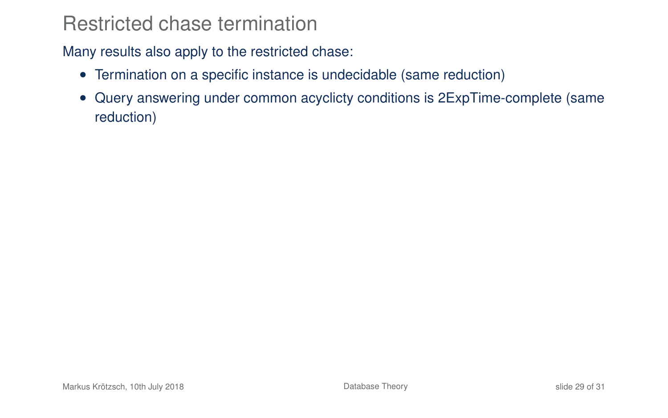### Restricted chase termination

Many results also apply to the restricted chase:

- Termination on a specific instance is undecidable (same reduction)
- Query answering under common acyclicty conditions is 2ExpTime-complete (same reduction)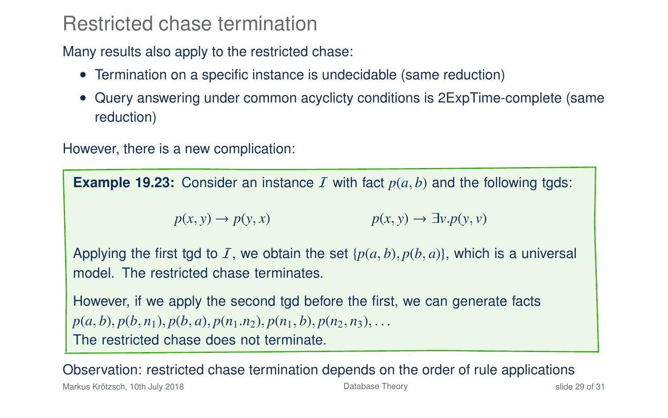### Restricted chase termination

Many results also apply to the restricted chase:

- Termination on a specific instance is undecidable (same reduction)
- Query answering under common acyclicty conditions is 2ExpTime-complete (same reduction)

However, there is a new complication:

**Example 19.23:** Consider an instance  $I$  with fact  $p(a, b)$  and the following tgds:

 $p(x, y) \rightarrow p(y, x)$  *p*(*x*, *y*)  $\rightarrow \exists v. p(y, v)$ 

Applying the first tgd to I, we obtain the set  $\{p(a, b), p(b, a)\}$ , which is a universal model. The restricted chase terminates.

However, if we apply the second tgd before the first, we can generate facts  $p(a, b), p(b, n_1), p(b, a), p(n_1, n_2), p(n_1, b), p(n_2, n_3), \ldots$ The restricted chase does not terminate.

Observation: restricted chase termination depends on the order of rule applications

Markus Krötzsch, 10th July 2018 [Database Theory](#page-0-0) slide 29 of 31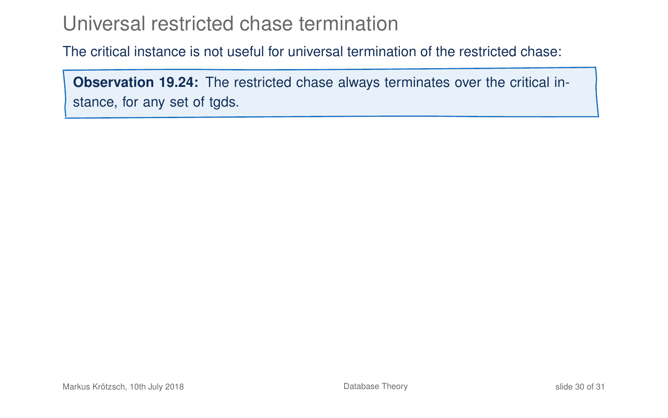## Universal restricted chase termination

The critical instance is not useful for universal termination of the restricted chase:

**Observation 19.24:** The restricted chase always terminates over the critical instance, for any set of tgds.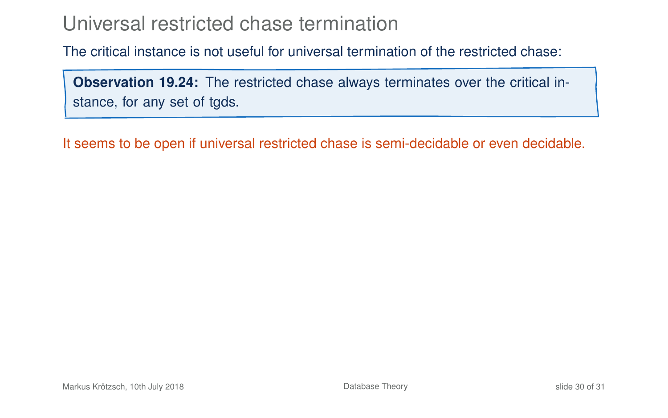## Universal restricted chase termination

The critical instance is not useful for universal termination of the restricted chase:

**Observation 19.24:** The restricted chase always terminates over the critical instance, for any set of tgds.

It seems to be open if universal restricted chase is semi-decidable or even decidable.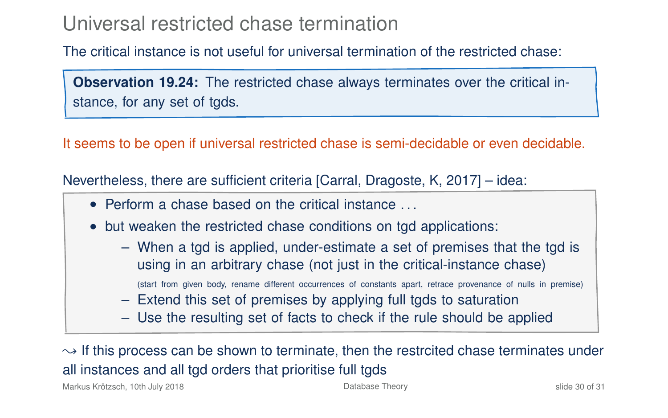### Universal restricted chase termination

The critical instance is not useful for universal termination of the restricted chase:

**Observation 19.24:** The restricted chase always terminates over the critical instance, for any set of tgds.

It seems to be open if universal restricted chase is semi-decidable or even decidable.

Nevertheless, there are sufficient criteria [Carral, Dragoste, K, 2017] – idea:

- Perform a chase based on the critical instance ...
- but weaken the restricted chase conditions on tgd applications:
	- When a tgd is applied, under-estimate a set of premises that the tgd is using in an arbitrary chase (not just in the critical-instance chase)
		- (start from given body, rename different occurrences of constants apart, retrace provenance of nulls in premise)
	- Extend this set of premises by applying full tgds to saturation
	- Use the resulting set of facts to check if the rule should be applied

 $\rightarrow$  If this process can be shown to terminate, then the restrcited chase terminates under all instances and all tgd orders that prioritise full tgds